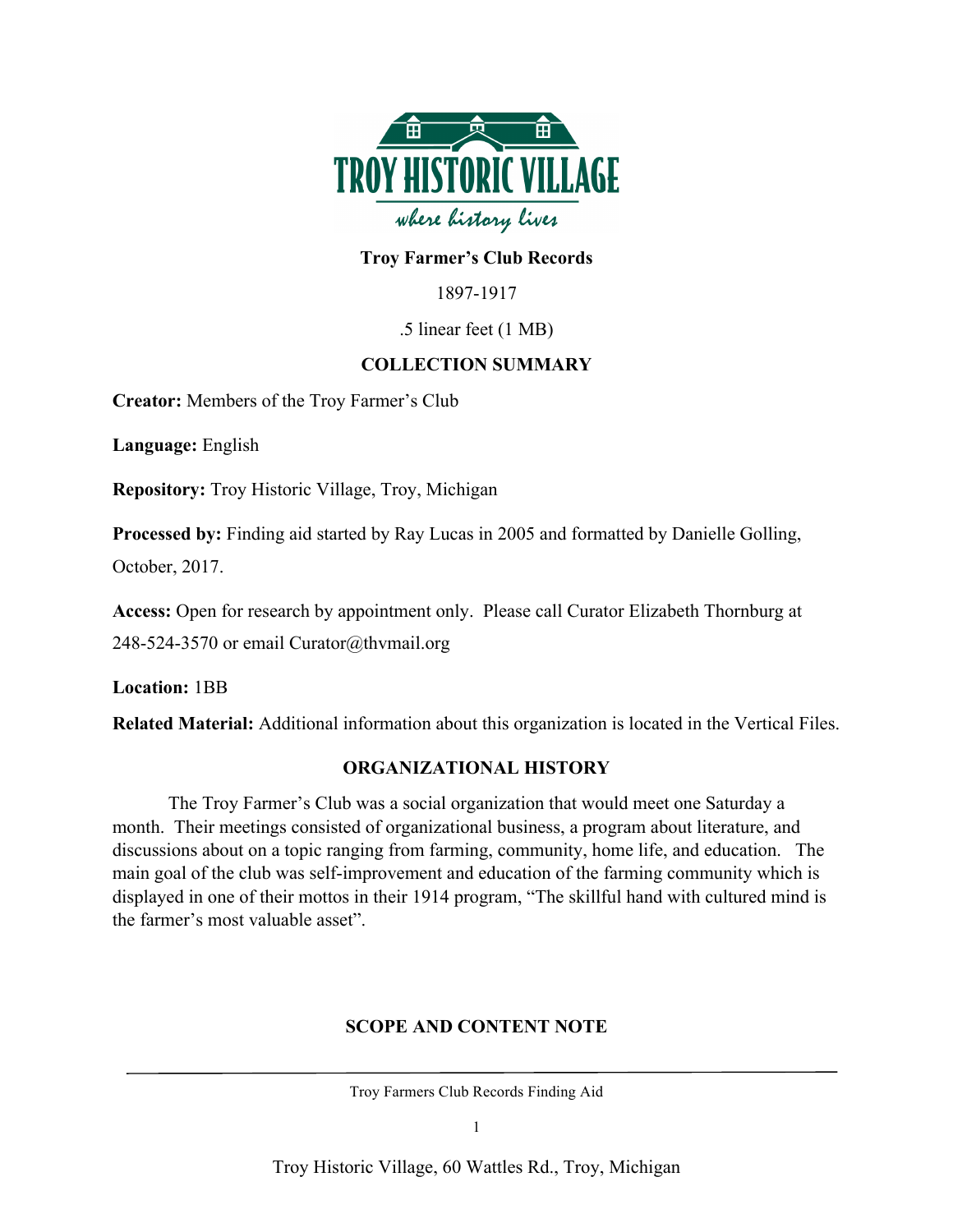

## **Troy Farmer's Club Records**

1897-1917

### .5 linear feet (1 MB)

### **COLLECTION SUMMARY**

**Creator:** Members of the Troy Farmer's Club

**Language:** English

**Repository:** Troy Historic Village, Troy, Michigan

**Processed by:** Finding aid started by Ray Lucas in 2005 and formatted by Danielle Golling,

October, 2017.

**Access:** Open for research by appointment only. Please call Curator Elizabeth Thornburg at 248-524-3570 or email Curator@thvmail.org

**Location:** 1BB

**Related Material:** Additional information about this organization is located in the Vertical Files.

### **ORGANIZATIONAL HISTORY**

The Troy Farmer's Club was a social organization that would meet one Saturday a month. Their meetings consisted of organizational business, a program about literature, and discussions about on a topic ranging from farming, community, home life, and education. The main goal of the club was self-improvement and education of the farming community which is displayed in one of their mottos in their 1914 program, "The skillful hand with cultured mind is the farmer's most valuable asset".

# **SCOPE AND CONTENT NOTE**

Troy Farmers Club Records Finding Aid